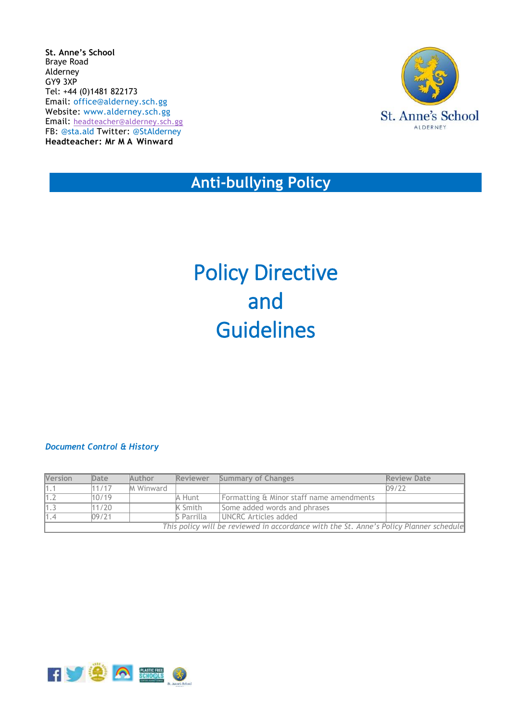**St. Anne's School** Braye Road Alderney GY9 3XP Tel: +44 (0)1481 822173 Email: [office@alderney.sch.gg](mailto:office@alderney.sch.gg) Website: [www.alderney.sch.gg](http://www.alderney.sch.gg/) Email: [headteacher@alderney.sch.gg](mailto:headteacher@alderney.sch.gg) FB: [@sta.ald](https://www.facebook.com/sta.ald/) Twitter: [@StAlderney](https://twitter.com/stalderney?lang=en) **Headteacher: Mr M A Winward**



 **Anti-bullying Policy** 

# Policy Directive and Guidelines

#### *Document Control & History*

| Version                                                                                | Date  | Author           | <b>Reviewer</b> | <b>Summary of Changes</b>                | <b>Review Date</b> |
|----------------------------------------------------------------------------------------|-------|------------------|-----------------|------------------------------------------|--------------------|
| 11.1                                                                                   | 11/17 | <b>M</b> Winward |                 |                                          | 09/22              |
|                                                                                        | 10/19 |                  | A Hunt          | Formatting & Minor staff name amendments |                    |
|                                                                                        | 11/20 |                  | K Smith         | Some added words and phrases             |                    |
| 1.4                                                                                    | 09/21 |                  | S Parrilla      | UNCRC Articles added                     |                    |
| This policy will be reviewed in accordance with the St. Anne's Policy Planner schedule |       |                  |                 |                                          |                    |

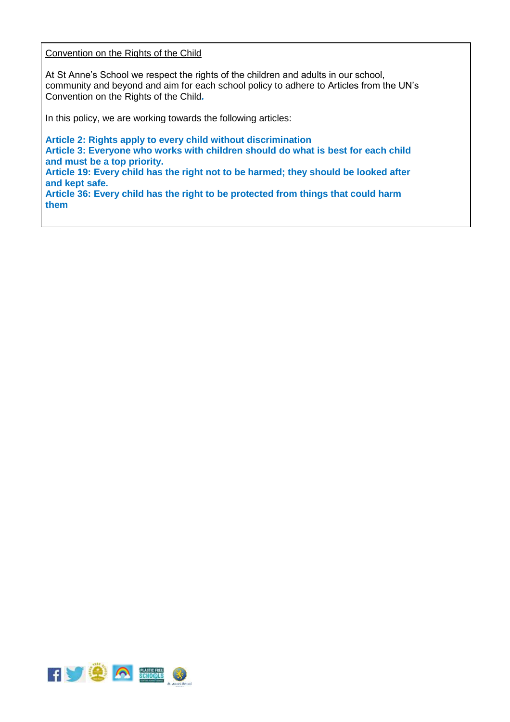#### Convention on the Rights of the Child

At St Anne's School we respect the rights of the children and adults in our school, community and beyond and aim for each school policy to adhere to Articles from the UN's Convention on the Rights of the Child*.*

In this policy, we are working towards the following articles:

**Article 2: Rights apply to every child without discrimination Article 3: Everyone who works with children should do what is best for each child and must be a top priority. Article 19: Every child has the right not to be harmed; they should be looked after and kept safe. Article 36: Every child has the right to be protected from things that could harm them**

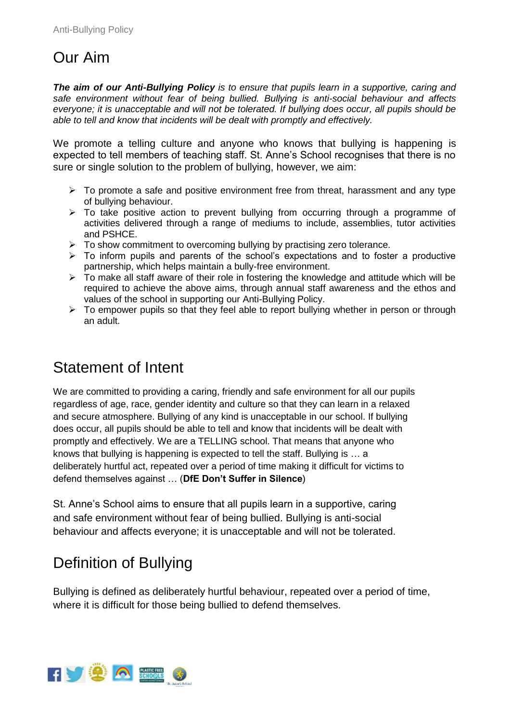# Our Aim

*The aim of our Anti-Bullying Policy is to ensure that pupils learn in a supportive, caring and safe environment without fear of being bullied. Bullying is anti-social behaviour and affects everyone; it is unacceptable and will not be tolerated. If bullying does occur, all pupils should be able to tell and know that incidents will be dealt with promptly and effectively.*

We promote a telling culture and anyone who knows that bullying is happening is expected to tell members of teaching staff. St. Anne's School recognises that there is no sure or single solution to the problem of bullying, however, we aim:

- $\triangleright$  To promote a safe and positive environment free from threat, harassment and any type of bullying behaviour.
- $\triangleright$  To take positive action to prevent bullying from occurring through a programme of activities delivered through a range of mediums to include, assemblies, tutor activities and PSHCE.
- $\triangleright$  To show commitment to overcoming bullying by practising zero tolerance.
- $\triangleright$  To inform pupils and parents of the school's expectations and to foster a productive partnership, which helps maintain a bully-free environment.
- $\triangleright$  To make all staff aware of their role in fostering the knowledge and attitude which will be required to achieve the above aims, through annual staff awareness and the ethos and values of the school in supporting our Anti-Bullying Policy.
- $\triangleright$  To empower pupils so that they feel able to report bullying whether in person or through an adult.

### Statement of Intent

We are committed to providing a caring, friendly and safe environment for all our pupils regardless of age, race, gender identity and culture so that they can learn in a relaxed and secure atmosphere. Bullying of any kind is unacceptable in our school. If bullying does occur, all pupils should be able to tell and know that incidents will be dealt with promptly and effectively. We are a TELLING school. That means that anyone who knows that bullying is happening is expected to tell the staff. Bullying is … a deliberately hurtful act, repeated over a period of time making it difficult for victims to defend themselves against … (**DfE Don't Suffer in Silence**)

St. Anne's School aims to ensure that all pupils learn in a supportive, caring and safe environment without fear of being bullied. Bullying is anti-social behaviour and affects everyone; it is unacceptable and will not be tolerated.

## Definition of Bullying

Bullying is defined as deliberately hurtful behaviour, repeated over a period of time, where it is difficult for those being bullied to defend themselves.

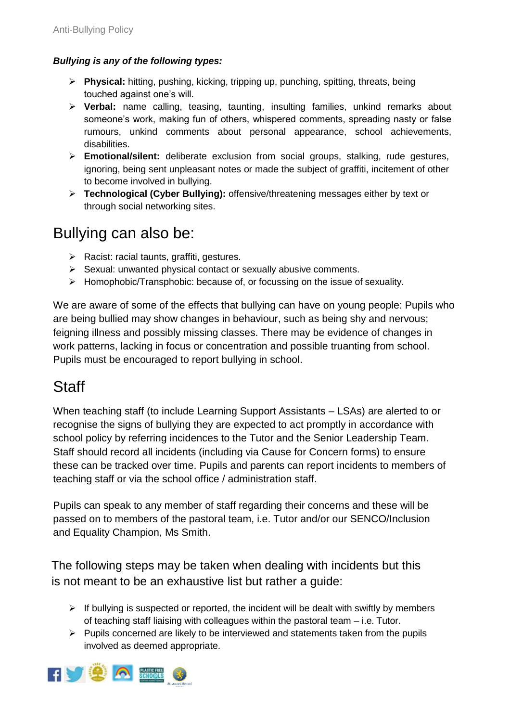#### *Bullying is any of the following types:*

- **Physical:** hitting, pushing, kicking, tripping up, punching, spitting, threats, being touched against one's will.
- **Verbal:** name calling, teasing, taunting, insulting families, unkind remarks about someone's work, making fun of others, whispered comments, spreading nasty or false rumours, unkind comments about personal appearance, school achievements, disabilities.
- **Emotional/silent:** deliberate exclusion from social groups, stalking, rude gestures, ignoring, being sent unpleasant notes or made the subject of graffiti, incitement of other to become involved in bullying.
- **Technological (Cyber Bullying):** offensive/threatening messages either by text or through social networking sites.

### Bullying can also be:

- $\triangleright$  Racist: racial taunts, graffiti, gestures.
- $\triangleright$  Sexual: unwanted physical contact or sexually abusive comments.
- $\triangleright$  Homophobic/Transphobic: because of, or focussing on the issue of sexuality.

We are aware of some of the effects that bullying can have on young people: Pupils who are being bullied may show changes in behaviour, such as being shy and nervous; feigning illness and possibly missing classes. There may be evidence of changes in work patterns, lacking in focus or concentration and possible truanting from school. Pupils must be encouraged to report bullying in school.

#### **Staff**

When teaching staff (to include Learning Support Assistants – LSAs) are alerted to or recognise the signs of bullying they are expected to act promptly in accordance with school policy by referring incidences to the Tutor and the Senior Leadership Team. Staff should record all incidents (including via Cause for Concern forms) to ensure these can be tracked over time. Pupils and parents can report incidents to members of teaching staff or via the school office / administration staff.

Pupils can speak to any member of staff regarding their concerns and these will be passed on to members of the pastoral team, i.e. Tutor and/or our SENCO/Inclusion and Equality Champion, Ms Smith.

The following steps may be taken when dealing with incidents but this is not meant to be an exhaustive list but rather a guide:

- $\triangleright$  If bullying is suspected or reported, the incident will be dealt with swiftly by members of teaching staff liaising with colleagues within the pastoral team – i.e. Tutor.
- $\triangleright$  Pupils concerned are likely to be interviewed and statements taken from the pupils involved as deemed appropriate.